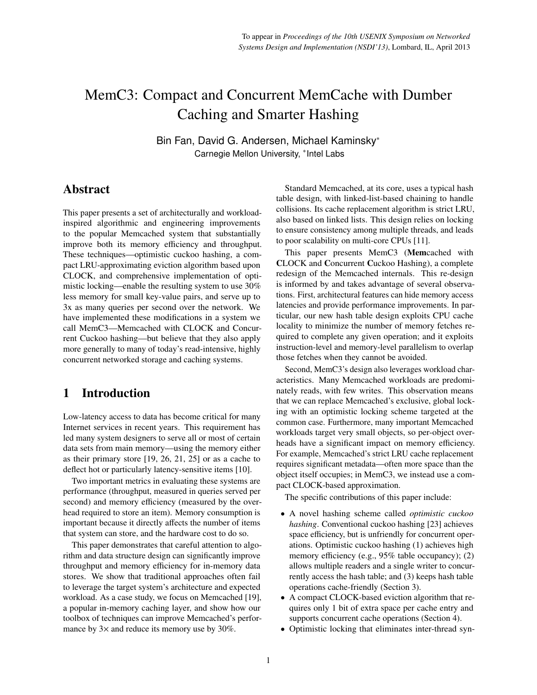# MemC3: Compact and Concurrent MemCache with Dumber Caching and Smarter Hashing

Bin Fan, David G. Andersen, Michael Kaminsky<sup>∗</sup> Carnegie Mellon University, <sup>∗</sup> Intel Labs

### Abstract

This paper presents a set of architecturally and workloadinspired algorithmic and engineering improvements to the popular Memcached system that substantially improve both its memory efficiency and throughput. These techniques—optimistic cuckoo hashing, a compact LRU-approximating eviction algorithm based upon CLOCK, and comprehensive implementation of optimistic locking—enable the resulting system to use 30% less memory for small key-value pairs, and serve up to 3x as many queries per second over the network. We have implemented these modifications in a system we call MemC3—Memcached with CLOCK and Concurrent Cuckoo hashing—but believe that they also apply more generally to many of today's read-intensive, highly concurrent networked storage and caching systems.

### 1 Introduction

Low-latency access to data has become critical for many Internet services in recent years. This requirement has led many system designers to serve all or most of certain data sets from main memory—using the memory either as their primary store [\[19,](#page-13-0) [26,](#page-13-1) [21,](#page-13-2) [25\]](#page-13-3) or as a cache to deflect hot or particularly latency-sensitive items [\[10\]](#page-13-4).

Two important metrics in evaluating these systems are performance (throughput, measured in queries served per second) and memory efficiency (measured by the overhead required to store an item). Memory consumption is important because it directly affects the number of items that system can store, and the hardware cost to do so.

This paper demonstrates that careful attention to algorithm and data structure design can significantly improve throughput and memory efficiency for in-memory data stores. We show that traditional approaches often fail to leverage the target system's architecture and expected workload. As a case study, we focus on Memcached [\[19\]](#page-13-0), a popular in-memory caching layer, and show how our toolbox of techniques can improve Memcached's performance by  $3\times$  and reduce its memory use by  $30\%$ .

Standard Memcached, at its core, uses a typical hash table design, with linked-list-based chaining to handle collisions. Its cache replacement algorithm is strict LRU, also based on linked lists. This design relies on locking to ensure consistency among multiple threads, and leads to poor scalability on multi-core CPUs [\[11\]](#page-13-5).

This paper presents MemC3 (Memcached with CLOCK and Concurrent Cuckoo Hashing), a complete redesign of the Memcached internals. This re-design is informed by and takes advantage of several observations. First, architectural features can hide memory access latencies and provide performance improvements. In particular, our new hash table design exploits CPU cache locality to minimize the number of memory fetches required to complete any given operation; and it exploits instruction-level and memory-level parallelism to overlap those fetches when they cannot be avoided.

Second, MemC3's design also leverages workload characteristics. Many Memcached workloads are predominately reads, with few writes. This observation means that we can replace Memcached's exclusive, global locking with an optimistic locking scheme targeted at the common case. Furthermore, many important Memcached workloads target very small objects, so per-object overheads have a significant impact on memory efficiency. For example, Memcached's strict LRU cache replacement requires significant metadata—often more space than the object itself occupies; in MemC3, we instead use a compact CLOCK-based approximation.

The specific contributions of this paper include:

- A novel hashing scheme called *optimistic cuckoo hashing*. Conventional cuckoo hashing [\[23\]](#page-13-6) achieves space efficiency, but is unfriendly for concurrent operations. Optimistic cuckoo hashing (1) achieves high memory efficiency (e.g., 95% table occupancy); (2) allows multiple readers and a single writer to concurrently access the hash table; and (3) keeps hash table operations cache-friendly (Section [3\)](#page-2-0).
- A compact CLOCK-based eviction algorithm that requires only 1 bit of extra space per cache entry and supports concurrent cache operations (Section [4\)](#page-5-0).
- Optimistic locking that eliminates inter-thread syn-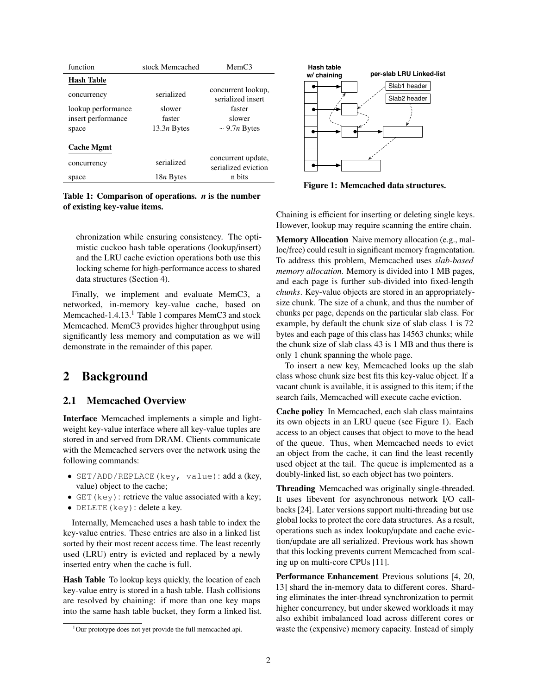<span id="page-1-1"></span>

| function           | stock Memcached   | MemC3                                     |  |  |
|--------------------|-------------------|-------------------------------------------|--|--|
| <b>Hash Table</b>  |                   |                                           |  |  |
| concurrency        | serialized        | concurrent lookup,<br>serialized insert   |  |  |
| lookup performance | slower            | faster                                    |  |  |
| insert performance | faster            | slower                                    |  |  |
| space              | $13.3n$ Bytes     | $\sim$ 9.7 <i>n</i> Bytes                 |  |  |
| <b>Cache Mgmt</b>  |                   |                                           |  |  |
| concurrency        | serialized        | concurrent update,<br>serialized eviction |  |  |
| space              | 18 <i>n</i> Bytes | n bits                                    |  |  |

Table 1: Comparison of operations. *n* is the number of existing key-value items.

chronization while ensuring consistency. The optimistic cuckoo hash table operations (lookup/insert) and the LRU cache eviction operations both use this locking scheme for high-performance access to shared data structures (Section [4\)](#page-5-0).

Finally, we implement and evaluate MemC3, a networked, in-memory key-value cache, based on Memcached-[1](#page-1-0).4.13.<sup>1</sup> Table [1](#page-1-1) compares MemC3 and stock Memcached. MemC3 provides higher throughput using significantly less memory and computation as we will demonstrate in the remainder of this paper.

### 2 Background

#### 2.1 Memcached Overview

Interface Memcached implements a simple and lightweight key-value interface where all key-value tuples are stored in and served from DRAM. Clients communicate with the Memcached servers over the network using the following commands:

- SET/ADD/REPLACE(key, value): add a (key, value) object to the cache;
- GET (key): retrieve the value associated with a key;
- DELETE(key): delete a key.

Internally, Memcached uses a hash table to index the key-value entries. These entries are also in a linked list sorted by their most recent access time. The least recently used (LRU) entry is evicted and replaced by a newly inserted entry when the cache is full.

Hash Table To lookup keys quickly, the location of each key-value entry is stored in a hash table. Hash collisions are resolved by chaining: if more than one key maps into the same hash table bucket, they form a linked list.

<span id="page-1-2"></span>

Figure 1: Memcached data structures.

Chaining is efficient for inserting or deleting single keys. However, lookup may require scanning the entire chain.

Memory Allocation Naive memory allocation (e.g., malloc/free) could result in significant memory fragmentation. To address this problem, Memcached uses *slab-based memory allocation*. Memory is divided into 1 MB pages, and each page is further sub-divided into fixed-length *chunks*. Key-value objects are stored in an appropriatelysize chunk. The size of a chunk, and thus the number of chunks per page, depends on the particular slab class. For example, by default the chunk size of slab class 1 is 72 bytes and each page of this class has 14563 chunks; while the chunk size of slab class 43 is 1 MB and thus there is only 1 chunk spanning the whole page.

To insert a new key, Memcached looks up the slab class whose chunk size best fits this key-value object. If a vacant chunk is available, it is assigned to this item; if the search fails, Memcached will execute cache eviction.

Cache policy In Memcached, each slab class maintains its own objects in an LRU queue (see Figure [1\)](#page-1-2). Each access to an object causes that object to move to the head of the queue. Thus, when Memcached needs to evict an object from the cache, it can find the least recently used object at the tail. The queue is implemented as a doubly-linked list, so each object has two pointers.

Threading Memcached was originally single-threaded. It uses libevent for asynchronous network I/O callbacks [\[24\]](#page-13-7). Later versions support multi-threading but use global locks to protect the core data structures. As a result, operations such as index lookup/update and cache eviction/update are all serialized. Previous work has shown that this locking prevents current Memcached from scaling up on multi-core CPUs [\[11\]](#page-13-5).

Performance Enhancement Previous solutions [\[4,](#page-13-8) [20,](#page-13-9) [13\]](#page-13-10) shard the in-memory data to different cores. Sharding eliminates the inter-thread synchronization to permit higher concurrency, but under skewed workloads it may also exhibit imbalanced load across different cores or waste the (expensive) memory capacity. Instead of simply

<span id="page-1-0"></span><sup>&</sup>lt;sup>1</sup>Our prototype does not yet provide the full memcached api.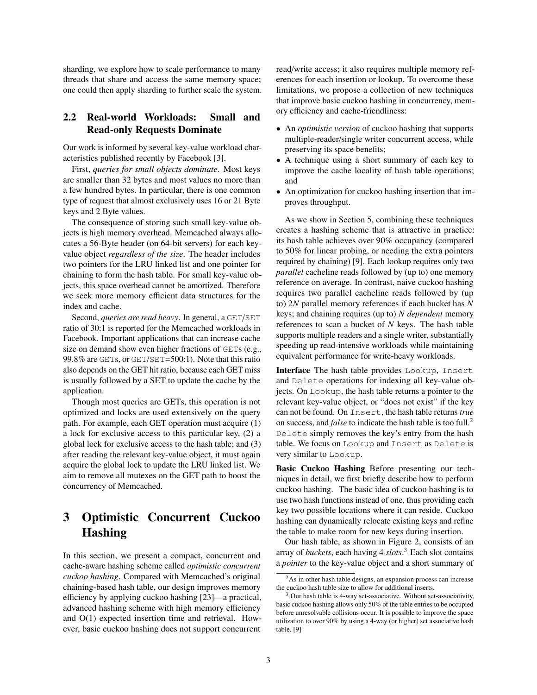sharding, we explore how to scale performance to many threads that share and access the same memory space; one could then apply sharding to further scale the system.

#### 2.2 Real-world Workloads: Small and Read-only Requests Dominate

Our work is informed by several key-value workload characteristics published recently by Facebook [\[3\]](#page-13-11).

First, *queries for small objects dominate*. Most keys are smaller than 32 bytes and most values no more than a few hundred bytes. In particular, there is one common type of request that almost exclusively uses 16 or 21 Byte keys and 2 Byte values.

The consequence of storing such small key-value objects is high memory overhead. Memcached always allocates a 56-Byte header (on 64-bit servers) for each keyvalue object *regardless of the size*. The header includes two pointers for the LRU linked list and one pointer for chaining to form the hash table. For small key-value objects, this space overhead cannot be amortized. Therefore we seek more memory efficient data structures for the index and cache.

Second, *queries are read heavy*. In general, a GET/SET ratio of 30:1 is reported for the Memcached workloads in Facebook. Important applications that can increase cache size on demand show even higher fractions of GETs (e.g., <sup>99</sup>.8% are GETs, or GET/SET=500:1). Note that this ratio also depends on the GET hit ratio, because each GET miss is usually followed by a SET to update the cache by the application.

Though most queries are GETs, this operation is not optimized and locks are used extensively on the query path. For example, each GET operation must acquire (1) a lock for exclusive access to this particular key, (2) a global lock for exclusive access to the hash table; and (3) after reading the relevant key-value object, it must again acquire the global lock to update the LRU linked list. We aim to remove all mutexes on the GET path to boost the concurrency of Memcached.

# <span id="page-2-0"></span>3 Optimistic Concurrent Cuckoo Hashing

In this section, we present a compact, concurrent and cache-aware hashing scheme called *optimistic concurrent cuckoo hashing*. Compared with Memcached's original chaining-based hash table, our design improves memory efficiency by applying cuckoo hashing [\[23\]](#page-13-6)—a practical, advanced hashing scheme with high memory efficiency and O(1) expected insertion time and retrieval. However, basic cuckoo hashing does not support concurrent

read/write access; it also requires multiple memory references for each insertion or lookup. To overcome these limitations, we propose a collection of new techniques that improve basic cuckoo hashing in concurrency, memory efficiency and cache-friendliness:

- An *optimistic version* of cuckoo hashing that supports multiple-reader/single writer concurrent access, while preserving its space benefits;
- A technique using a short summary of each key to improve the cache locality of hash table operations; and
- An optimization for cuckoo hashing insertion that improves throughput.

As we show in Section [5,](#page-6-0) combining these techniques creates a hashing scheme that is attractive in practice: its hash table achieves over 90% occupancy (compared to 50% for linear probing, or needing the extra pointers required by chaining) [\[9\]](#page-13-12). Each lookup requires only two *parallel* cacheline reads followed by (up to) one memory reference on average. In contrast, naive cuckoo hashing requires two parallel cacheline reads followed by (up to) 2*N* parallel memory references if each bucket has *N* keys; and chaining requires (up to) *N dependent* memory references to scan a bucket of *N* keys. The hash table supports multiple readers and a single writer, substantially speeding up read-intensive workloads while maintaining equivalent performance for write-heavy workloads.

Interface The hash table provides Lookup, Insert and Delete operations for indexing all key-value objects. On Lookup, the hash table returns a pointer to the relevant key-value object, or "does not exist" if the key can not be found. On Insert, the hash table returns *true* on success, and *false* to indicate the hash table is too full.[2](#page-2-1) Delete simply removes the key's entry from the hash table. We focus on Lookup and Insert as Delete is very similar to Lookup.

Basic Cuckoo Hashing Before presenting our techniques in detail, we first briefly describe how to perform cuckoo hashing. The basic idea of cuckoo hashing is to use two hash functions instead of one, thus providing each key two possible locations where it can reside. Cuckoo hashing can dynamically relocate existing keys and refine the table to make room for new keys during insertion.

Our hash table, as shown in Figure [2,](#page-3-0) consists of an array of *buckets*, each having 4 *slots*. [3](#page-2-2) Each slot contains a *pointer* to the key-value object and a short summary of

<span id="page-2-1"></span><sup>2</sup>As in other hash table designs, an expansion process can increase the cuckoo hash table size to allow for additional inserts.

<span id="page-2-2"></span> $3$  Our hash table is 4-way set-associative. Without set-associativity, basic cuckoo hashing allows only 50% of the table entries to be occupied before unresolvable collisions occur. It is possible to improve the space utilization to over 90% by using a 4-way (or higher) set associative hash table. [\[9\]](#page-13-12)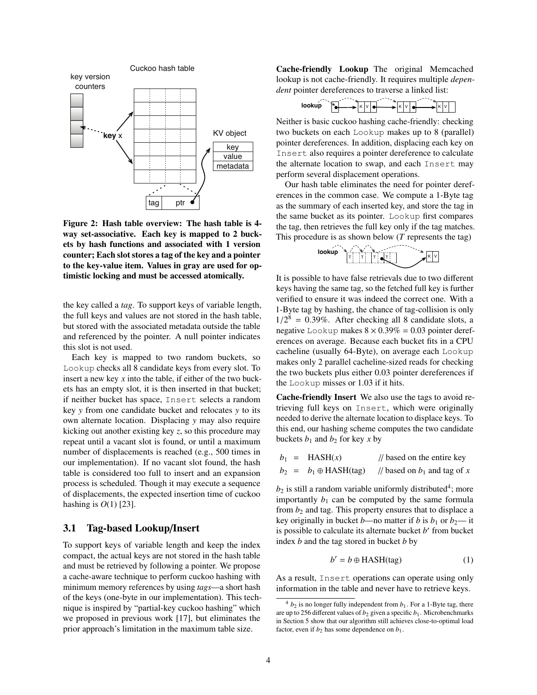<span id="page-3-0"></span>

Figure 2: Hash table overview: The hash table is 4 way set-associative. Each key is mapped to 2 buckets by hash functions and associated with 1 version counter; Each slot stores a tag of the key and a pointer to the key-value item. Values in gray are used for optimistic locking and must be accessed atomically.

the key called a *tag*. To support keys of variable length, the full keys and values are not stored in the hash table, but stored with the associated metadata outside the table and referenced by the pointer. A null pointer indicates this slot is not used.

Each key is mapped to two random buckets, so Lookup checks all 8 candidate keys from every slot. To insert a new key *x* into the table, if either of the two buckets has an empty slot, it is then inserted in that bucket; if neither bucket has space, Insert selects a random key *y* from one candidate bucket and relocates *y* to its own alternate location. Displacing *y* may also require kicking out another existing key *z*, so this procedure may repeat until a vacant slot is found, or until a maximum number of displacements is reached (e.g., 500 times in our implementation). If no vacant slot found, the hash table is considered too full to insert and an expansion process is scheduled. Though it may execute a sequence of displacements, the expected insertion time of cuckoo hashing is *O*(1) [\[23\]](#page-13-6).

#### <span id="page-3-2"></span>3.1 Tag-based Lookup/Insert

To support keys of variable length and keep the index compact, the actual keys are not stored in the hash table and must be retrieved by following a pointer. We propose a cache-aware technique to perform cuckoo hashing with minimum memory references by using *tags*—a short hash of the keys (one-byte in our implementation). This technique is inspired by "partial-key cuckoo hashing" which we proposed in previous work [\[17\]](#page-13-13), but eliminates the prior approach's limitation in the maximum table size.

Cache-friendly Lookup The original Memcached lookup is not cache-friendly. It requires multiple *dependent* pointer dereferences to traverse a linked list:



Neither is basic cuckoo hashing cache-friendly: checking two buckets on each Lookup makes up to 8 (parallel) pointer dereferences. In addition, displacing each key on Insert also requires a pointer dereference to calculate the alternate location to swap, and each Insert may perform several displacement operations.

Our hash table eliminates the need for pointer dereferences in the common case. We compute a 1-Byte tag as the summary of each inserted key, and store the tag in the same bucket as its pointer. Lookup first compares the tag, then retrieves the full key only if the tag matches. This procedure is as shown below (*T* represents the tag)



It is possible to have false retrievals due to two different keys having the same tag, so the fetched full key is further verified to ensure it was indeed the correct one. With a 1-Byte tag by hashing, the chance of tag-collision is only  $1/2^8 = 0.39\%$ . After checking all 8 candidate slots, a<br>negative Lookup makes  $8 \times 0.39\% = 0.03$  pointer deref. negative Lookup makes  $8 \times 0.39\% = 0.03$  pointer dereferences on average. Because each bucket fits in a CPU cacheline (usually 64-Byte), on average each Lookup makes only 2 parallel cacheline-sized reads for checking the two buckets plus either <sup>0</sup>.<sup>03</sup> pointer dereferences if the Lookup misses or 1.03 if it hits.

Cache-friendly Insert We also use the tags to avoid retrieving full keys on Insert, which were originally needed to derive the alternate location to displace keys. To this end, our hashing scheme computes the two candidate buckets  $b_1$  and  $b_2$  for key *x* by

|  | $b_1$ = HASH(x)              | // based on the entire key     |
|--|------------------------------|--------------------------------|
|  | $b_2 = b_1 \oplus HASH(tag)$ | // based on $b_1$ and tag of x |

 $b_2$  is still a random variable uniformly distributed<sup>[4](#page-3-1)</sup>; more importantly  $b_1$  can be computed by the same formula from *b*<sup>2</sup> and tag. This property ensures that to displace a key originally in bucket *b*—no matter if *b* is  $b_1$  or  $b_2$ — it is possible to calculate its alternate bucket *b'* from bucket index *b* and the tag stored in bucket *b* by

$$
b' = b \oplus HASH(tag)
$$
 (1)

As a result, Insert operations can operate using only information in the table and never have to retrieve keys.

<span id="page-3-1"></span> $4 b_2$  is no longer fully independent from  $b_1$ . For a 1-Byte tag, there are up to 256 different values of  $b_2$  given a specific  $b_1$ . Microbenchmarks in Section [5](#page-6-0) show that our algorithm still achieves close-to-optimal load factor, even if  $b_2$  has some dependence on  $b_1$ .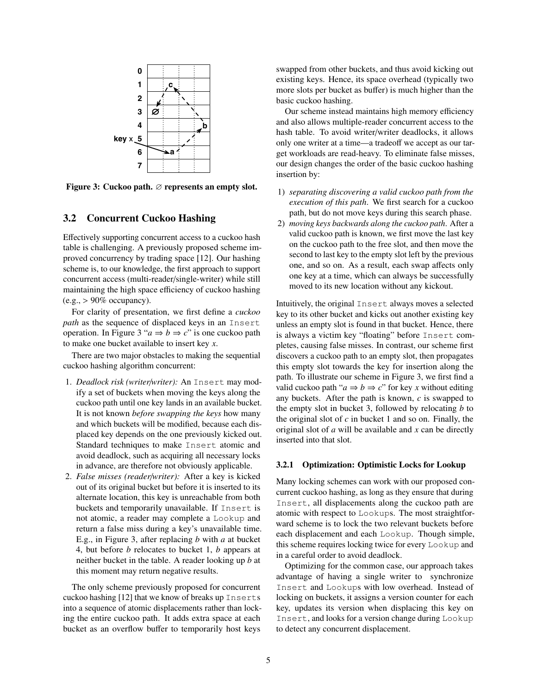<span id="page-4-0"></span>

Figure 3: Cuckoo path. ∅ represents an empty slot.

#### <span id="page-4-2"></span>3.2 Concurrent Cuckoo Hashing

Effectively supporting concurrent access to a cuckoo hash table is challenging. A previously proposed scheme improved concurrency by trading space [\[12\]](#page-13-14). Our hashing scheme is, to our knowledge, the first approach to support concurrent access (multi-reader/single-writer) while still maintaining the high space efficiency of cuckoo hashing  $(e.g., > 90\%$  occupancy).

For clarity of presentation, we first define a *cuckoo path* as the sequence of displaced keys in an Insert operation. In Figure [3](#page-4-0) " $a \Rightarrow b \Rightarrow c$ " is one cuckoo path to make one bucket available to insert key *x*.

There are two major obstacles to making the sequential cuckoo hashing algorithm concurrent:

- 1. *Deadlock risk (writer*/*writer):* An Insert may modify a set of buckets when moving the keys along the cuckoo path until one key lands in an available bucket. It is not known *before swapping the keys* how many and which buckets will be modified, because each displaced key depends on the one previously kicked out. Standard techniques to make Insert atomic and avoid deadlock, such as acquiring all necessary locks in advance, are therefore not obviously applicable.
- 2. *False misses (reader*/*writer):* After a key is kicked out of its original bucket but before it is inserted to its alternate location, this key is unreachable from both buckets and temporarily unavailable. If Insert is not atomic, a reader may complete a Lookup and return a false miss during a key's unavailable time. E.g., in Figure [3,](#page-4-0) after replacing *b* with *a* at bucket 4, but before *b* relocates to bucket 1, *b* appears at neither bucket in the table. A reader looking up *b* at this moment may return negative results.

The only scheme previously proposed for concurrent cuckoo hashing [\[12\]](#page-13-14) that we know of breaks up Inserts into a sequence of atomic displacements rather than locking the entire cuckoo path. It adds extra space at each bucket as an overflow buffer to temporarily host keys

swapped from other buckets, and thus avoid kicking out existing keys. Hence, its space overhead (typically two more slots per bucket as buffer) is much higher than the basic cuckoo hashing.

Our scheme instead maintains high memory efficiency and also allows multiple-reader concurrent access to the hash table. To avoid writer/writer deadlocks, it allows only one writer at a time—a tradeoff we accept as our target workloads are read-heavy. To eliminate false misses, our design changes the order of the basic cuckoo hashing insertion by:

- 1) *separating discovering a valid cuckoo path from the execution of this path*. We first search for a cuckoo path, but do not move keys during this search phase.
- 2) *moving keys backwards along the cuckoo path*. After a valid cuckoo path is known, we first move the last key on the cuckoo path to the free slot, and then move the second to last key to the empty slot left by the previous one, and so on. As a result, each swap affects only one key at a time, which can always be successfully moved to its new location without any kickout.

Intuitively, the original Insert always moves a selected key to its other bucket and kicks out another existing key unless an empty slot is found in that bucket. Hence, there is always a victim key "floating" before Insert completes, causing false misses. In contrast, our scheme first discovers a cuckoo path to an empty slot, then propagates this empty slot towards the key for insertion along the path. To illustrate our scheme in Figure [3,](#page-4-0) we first find a valid cuckoo path " $a \Rightarrow b \Rightarrow c$ " for key *x* without editing any buckets. After the path is known, *c* is swapped to the empty slot in bucket 3, followed by relocating *b* to the original slot of  $c$  in bucket 1 and so on. Finally, the original slot of *a* will be available and *x* can be directly inserted into that slot.

#### <span id="page-4-1"></span>3.2.1 Optimization: Optimistic Locks for Lookup

Many locking schemes can work with our proposed concurrent cuckoo hashing, as long as they ensure that during Insert, all displacements along the cuckoo path are atomic with respect to Lookups. The most straightforward scheme is to lock the two relevant buckets before each displacement and each Lookup. Though simple, this scheme requires locking twice for every Lookup and in a careful order to avoid deadlock.

Optimizing for the common case, our approach takes advantage of having a single writer to synchronize Insert and Lookups with low overhead. Instead of locking on buckets, it assigns a version counter for each key, updates its version when displacing this key on Insert, and looks for a version change during Lookup to detect any concurrent displacement.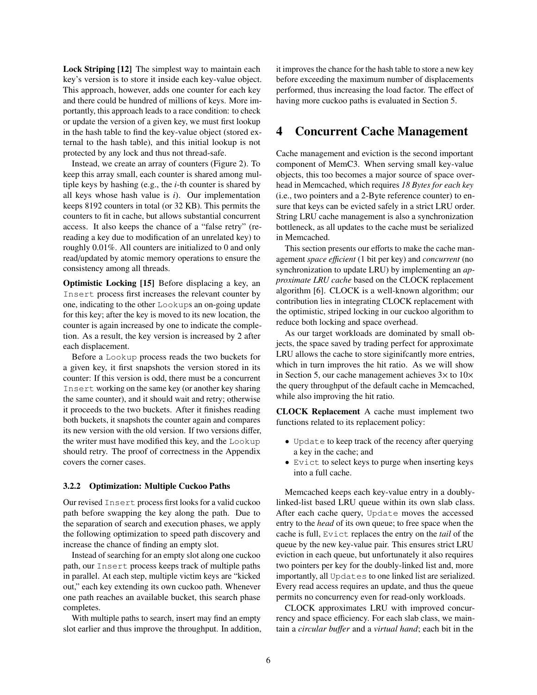Lock Striping [\[12\]](#page-13-14) The simplest way to maintain each key's version is to store it inside each key-value object. This approach, however, adds one counter for each key and there could be hundred of millions of keys. More importantly, this approach leads to a race condition: to check or update the version of a given key, we must first lookup in the hash table to find the key-value object (stored external to the hash table), and this initial lookup is not protected by any lock and thus not thread-safe.

Instead, we create an array of counters (Figure [2\)](#page-3-0). To keep this array small, each counter is shared among multiple keys by hashing (e.g., the *i*-th counter is shared by all keys whose hash value is *i*). Our implementation keeps 8192 counters in total (or 32 KB). This permits the counters to fit in cache, but allows substantial concurrent access. It also keeps the chance of a "false retry" (rereading a key due to modification of an unrelated key) to roughly 0.01%. All counters are initialized to 0 and only read/updated by atomic memory operations to ensure the consistency among all threads.

Optimistic Locking [\[15\]](#page-13-15) Before displacing a key, an Insert process first increases the relevant counter by one, indicating to the other Lookups an on-going update for this key; after the key is moved to its new location, the counter is again increased by one to indicate the completion. As a result, the key version is increased by 2 after each displacement.

Before a Lookup process reads the two buckets for a given key, it first snapshots the version stored in its counter: If this version is odd, there must be a concurrent Insert working on the same key (or another key sharing the same counter), and it should wait and retry; otherwise it proceeds to the two buckets. After it finishes reading both buckets, it snapshots the counter again and compares its new version with the old version. If two versions differ, the writer must have modified this key, and the Lookup should retry. The proof of correctness in the Appendix covers the corner cases.

#### <span id="page-5-1"></span>3.2.2 Optimization: Multiple Cuckoo Paths

Our revised Insert process first looks for a valid cuckoo path before swapping the key along the path. Due to the separation of search and execution phases, we apply the following optimization to speed path discovery and increase the chance of finding an empty slot.

Instead of searching for an empty slot along one cuckoo path, our Insert process keeps track of multiple paths in parallel. At each step, multiple victim keys are "kicked out," each key extending its own cuckoo path. Whenever one path reaches an available bucket, this search phase completes.

With multiple paths to search, insert may find an empty slot earlier and thus improve the throughput. In addition, it improves the chance for the hash table to store a new key before exceeding the maximum number of displacements performed, thus increasing the load factor. The effect of having more cuckoo paths is evaluated in Section [5.](#page-6-0)

### <span id="page-5-0"></span>4 Concurrent Cache Management

Cache management and eviction is the second important component of MemC3. When serving small key-value objects, this too becomes a major source of space overhead in Memcached, which requires *18 Bytes for each key* (i.e., two pointers and a 2-Byte reference counter) to ensure that keys can be evicted safely in a strict LRU order. String LRU cache management is also a synchronization bottleneck, as all updates to the cache must be serialized in Memcached.

This section presents our efforts to make the cache management *space e*ffi*cient* (1 bit per key) and *concurrent* (no synchronization to update LRU) by implementing an *approximate LRU cache* based on the CLOCK replacement algorithm [\[6\]](#page-13-16). CLOCK is a well-known algorithm; our contribution lies in integrating CLOCK replacement with the optimistic, striped locking in our cuckoo algorithm to reduce both locking and space overhead.

As our target workloads are dominated by small objects, the space saved by trading perfect for approximate LRU allows the cache to store siginifcantly more entries, which in turn improves the hit ratio. As we will show in Section [5,](#page-6-0) our cache management achieves  $3\times$  to  $10\times$ the query throughput of the default cache in Memcached, while also improving the hit ratio.

CLOCK Replacement A cache must implement two functions related to its replacement policy:

- Update to keep track of the recency after querying a key in the cache; and
- Evict to select keys to purge when inserting keys into a full cache.

Memcached keeps each key-value entry in a doublylinked-list based LRU queue within its own slab class. After each cache query, Update moves the accessed entry to the *head* of its own queue; to free space when the cache is full, Evict replaces the entry on the *tail* of the queue by the new key-value pair. This ensures strict LRU eviction in each queue, but unfortunately it also requires two pointers per key for the doubly-linked list and, more importantly, all Updates to one linked list are serialized. Every read access requires an update, and thus the queue permits no concurrency even for read-only workloads.

CLOCK approximates LRU with improved concurrency and space efficiency. For each slab class, we maintain a *circular bu*ff*er* and a *virtual hand*; each bit in the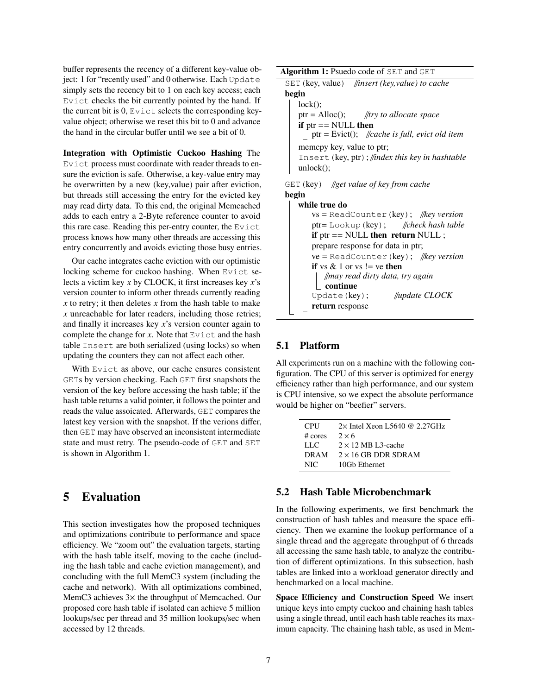buffer represents the recency of a different key-value object: 1 for "recently used" and 0 otherwise. Each Update simply sets the recency bit to 1 on each key access; each Evict checks the bit currently pointed by the hand. If the current bit is 0, Evict selects the corresponding keyvalue object; otherwise we reset this bit to 0 and advance the hand in the circular buffer until we see a bit of 0.

Integration with Optimistic Cuckoo Hashing The Evict process must coordinate with reader threads to ensure the eviction is safe. Otherwise, a key-value entry may be overwritten by a new (key,value) pair after eviction, but threads still accessing the entry for the evicted key may read dirty data. To this end, the original Memcached adds to each entry a 2-Byte reference counter to avoid this rare case. Reading this per-entry counter, the Evict process knows how many other threads are accessing this entry concurrently and avoids evicting those busy entries.

Our cache integrates cache eviction with our optimistic locking scheme for cuckoo hashing. When Evict selects a victim key *x* by CLOCK, it first increases key *x*'s version counter to inform other threads currently reading *x* to retry; it then deletes *x* from the hash table to make *x* unreachable for later readers, including those retries; and finally it increases key *x*'s version counter again to complete the change for  $x$ . Note that Evict and the hash table Insert are both serialized (using locks) so when updating the counters they can not affect each other.

With Evict as above, our cache ensures consistent GETs by version checking. Each GET first snapshots the version of the key before accessing the hash table; if the hash table returns a valid pointer, it follows the pointer and reads the value assoicated. Afterwards, GET compares the latest key version with the snapshot. If the verions differ, then GET may have observed an inconsistent intermediate state and must retry. The pseudo-code of GET and SET is shown in Algorithm [1.](#page-6-1)

### <span id="page-6-0"></span>5 Evaluation

This section investigates how the proposed techniques and optimizations contribute to performance and space efficiency. We "zoom out" the evaluation targets, starting with the hash table itself, moving to the cache (including the hash table and cache eviction management), and concluding with the full MemC3 system (including the cache and network). With all optimizations combined, MemC3 achieves  $3\times$  the throughput of Memcached. Our proposed core hash table if isolated can achieve 5 million lookups/sec per thread and 35 million lookups/sec when accessed by 12 threads.

```
Algorithm 1: Psuedo code of SET and GET
SET(key, value) //insert (key,value) to cache
begin
   lock();
   ptr = Alloc(); //try to allocate space
   if ptr == NULL then
    ptr = Evict(); //cache is full, evict old item
   memcpy key, value to ptr;
   Insert(key, ptr); //index this key in hashtable
   unlock();
GET(key) //get value of key from cache
begin
   while true do
       vs = ReadCounter(key); //key version
       ptr= Lookup(key); //check hash table
       if ptr == NULL then return NULL ;
       prepare response for data in ptr;
       ve = ReadCounter(key); //key version
       if vs & 1 or vs != ve then
          //may read dirty data, try again
          continue
```
#### <span id="page-6-1"></span>5.1 Platform

return response

All experiments run on a machine with the following configuration. The CPU of this server is optimized for energy efficiency rather than high performance, and our system is CPU intensive, so we expect the absolute performance would be higher on "beefier" servers.

Update(key); //*update CLOCK*

| <b>CPU</b>          | $2\times$ Intel Xeon L5640 @ 2.27GHz |
|---------------------|--------------------------------------|
| $# \; \text{cores}$ | $2 \times 6$                         |
| LLC.                | $2 \times 12$ MB L3-cache            |
| <b>DRAM</b>         | $2 \times 16$ GB DDR SDRAM           |
| NIC.                | 10Gb Ethernet                        |

#### 5.2 Hash Table Microbenchmark

In the following experiments, we first benchmark the construction of hash tables and measure the space efficiency. Then we examine the lookup performance of a single thread and the aggregate throughput of 6 threads all accessing the same hash table, to analyze the contribution of different optimizations. In this subsection, hash tables are linked into a workload generator directly and benchmarked on a local machine.

Space Efficiency and Construction Speed We insert unique keys into empty cuckoo and chaining hash tables using a single thread, until each hash table reaches its maximum capacity. The chaining hash table, as used in Mem-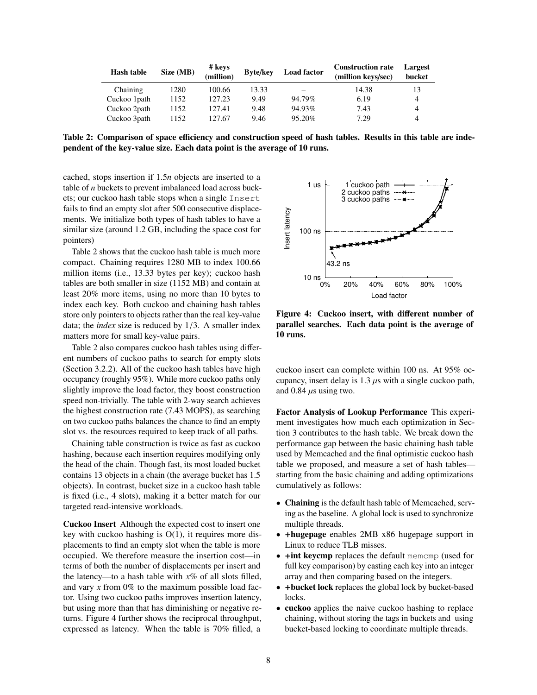<span id="page-7-0"></span>

| Hash table   | Size (MB) | # keys<br>(million) | <b>Byte/key</b> | <b>Load factor</b> | <b>Construction rate</b><br>(million keys/sec) | Largest<br>bucket |
|--------------|-----------|---------------------|-----------------|--------------------|------------------------------------------------|-------------------|
| Chaining     | 1280      | 100.66              | 13.33           |                    | 14.38                                          |                   |
| Cuckoo 1path | 1152      | 127.23              | 9.49            | 94.79%             | 6.19                                           |                   |
| Cuckoo 2path | 1152      | 127.41              | 9.48            | 94.93%             | 7.43                                           |                   |
| Cuckoo 3path | 1152      | 127.67              | 9.46            | 95.20%             | 7.29                                           |                   |

Table 2: Comparison of space efficiency and construction speed of hash tables. Results in this table are independent of the key-value size. Each data point is the average of 10 runs.

cached, stops insertion if <sup>1</sup>.5*<sup>n</sup>* objects are inserted to a table of *n* buckets to prevent imbalanced load across buckets; our cuckoo hash table stops when a single Insert fails to find an empty slot after 500 consecutive displacements. We initialize both types of hash tables to have a similar size (around 1.2 GB, including the space cost for pointers)

Table [2](#page-7-0) shows that the cuckoo hash table is much more compact. Chaining requires 1280 MB to index 100.66 million items (i.e., 13.33 bytes per key); cuckoo hash tables are both smaller in size (1152 MB) and contain at least 20% more items, using no more than 10 bytes to index each key. Both cuckoo and chaining hash tables store only pointers to objects rather than the real key-value data; the *index* size is reduced by <sup>1</sup>/3. A smaller index matters more for small key-value pairs.

Table [2](#page-7-0) also compares cuckoo hash tables using different numbers of cuckoo paths to search for empty slots (Section [3.2.2\)](#page-5-1). All of the cuckoo hash tables have high occupancy (roughly 95%). While more cuckoo paths only slightly improve the load factor, they boost construction speed non-trivially. The table with 2-way search achieves the highest construction rate (7.<sup>43</sup> MOPS), as searching on two cuckoo paths balances the chance to find an empty slot vs. the resources required to keep track of all paths.

Chaining table construction is twice as fast as cuckoo hashing, because each insertion requires modifying only the head of the chain. Though fast, its most loaded bucket contains 13 objects in a chain (the average bucket has 1.5 objects). In contrast, bucket size in a cuckoo hash table is fixed (i.e., 4 slots), making it a better match for our targeted read-intensive workloads.

Cuckoo Insert Although the expected cost to insert one key with cuckoo hashing is  $O(1)$ , it requires more displacements to find an empty slot when the table is more occupied. We therefore measure the insertion cost—in terms of both the number of displacements per insert and the latency—to a hash table with *x*% of all slots filled, and vary *x* from 0% to the maximum possible load factor. Using two cuckoo paths improves insertion latency, but using more than that has diminishing or negative returns. Figure [4](#page-7-1) further shows the reciprocal throughput, expressed as latency. When the table is 70% filled, a

<span id="page-7-1"></span>

Figure 4: Cuckoo insert, with different number of parallel searches. Each data point is the average of 10 runs.

cuckoo insert can complete within 100 ns. At 95% occupancy, insert delay is  $1.3 \mu s$  with a single cuckoo path, and 0.84  $\mu$ s using two.

Factor Analysis of Lookup Performance This experiment investigates how much each optimization in Section [3](#page-2-0) contributes to the hash table. We break down the performance gap between the basic chaining hash table used by Memcached and the final optimistic cuckoo hash table we proposed, and measure a set of hash tables starting from the basic chaining and adding optimizations cumulatively as follows:

- Chaining is the default hash table of Memcached, serving as the baseline. A global lock is used to synchronize multiple threads.
- +hugepage enables 2MB x86 hugepage support in Linux to reduce TLB misses.
- +int keycmp replaces the default memcmp (used for full key comparison) by casting each key into an integer array and then comparing based on the integers.
- +bucket lock replaces the global lock by bucket-based locks.
- cuckoo applies the naive cuckoo hashing to replace chaining, without storing the tags in buckets and using bucket-based locking to coordinate multiple threads.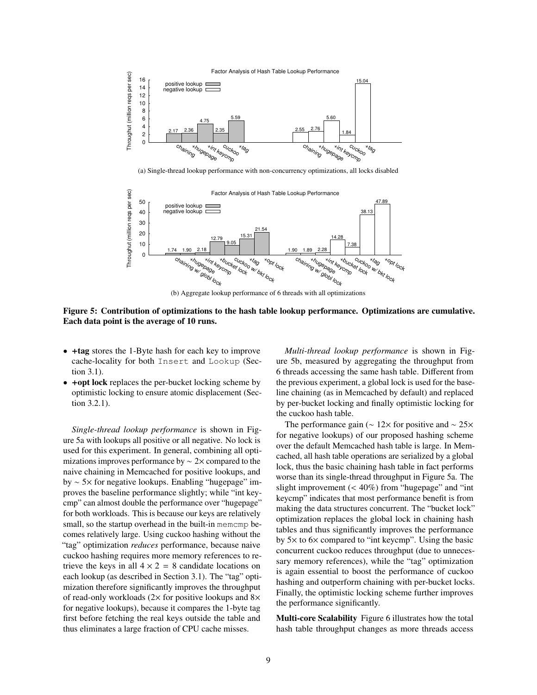<span id="page-8-0"></span>

(a) Single-thread lookup performance with non-concurrency optimizations, all locks disabled

<span id="page-8-1"></span>

(b) Aggregate lookup performance of 6 threads with all optimizations

Figure 5: Contribution of optimizations to the hash table lookup performance. Optimizations are cumulative. Each data point is the average of 10 runs.

- +tag stores the 1-Byte hash for each key to improve cache-locality for both Insert and Lookup (Section [3.1\)](#page-3-2).
- +opt lock replaces the per-bucket locking scheme by optimistic locking to ensure atomic displacement (Section [3.2.1\)](#page-4-1).

*Single-thread lookup performance* is shown in Figure [5a](#page-8-0) with lookups all positive or all negative. No lock is used for this experiment. In general, combining all optimizations improves performance by ∼ 2× compared to the naive chaining in Memcached for positive lookups, and by ∼ 5× for negative lookups. Enabling "hugepage" improves the baseline performance slightly; while "int keycmp" can almost double the performance over "hugepage" for both workloads. This is because our keys are relatively small, so the startup overhead in the built-in memcmp becomes relatively large. Using cuckoo hashing without the "tag" optimization *reduces* performance, because naive cuckoo hashing requires more memory references to retrieve the keys in all  $4 \times 2 = 8$  candidate locations on each lookup (as described in Section [3.1\)](#page-3-2). The "tag" optimization therefore significantly improves the throughput of read-only workloads ( $2\times$  for positive lookups and  $8\times$ for negative lookups), because it compares the 1-byte tag first before fetching the real keys outside the table and thus eliminates a large fraction of CPU cache misses.

*Multi-thread lookup performance* is shown in Figure [5b,](#page-8-1) measured by aggregating the throughput from 6 threads accessing the same hash table. Different from the previous experiment, a global lock is used for the baseline chaining (as in Memcached by default) and replaced by per-bucket locking and finally optimistic locking for the cuckoo hash table.

The performance gain ( $\sim$  12× for positive and  $\sim$  25× for negative lookups) of our proposed hashing scheme over the default Memcached hash table is large. In Memcached, all hash table operations are serialized by a global lock, thus the basic chaining hash table in fact performs worse than its single-thread throughput in Figure [5a.](#page-8-0) The slight improvement  $( $40\%)$  from "hugepage" and "int$ keycmp" indicates that most performance benefit is from making the data structures concurrent. The "bucket lock" optimization replaces the global lock in chaining hash tables and thus significantly improves the performance by 5× to 6× compared to "int keycmp". Using the basic concurrent cuckoo reduces throughput (due to unnecessary memory references), while the "tag" optimization is again essential to boost the performance of cuckoo hashing and outperform chaining with per-bucket locks. Finally, the optimistic locking scheme further improves the performance significantly.

Multi-core Scalability Figure [6](#page-9-0) illustrates how the total hash table throughput changes as more threads access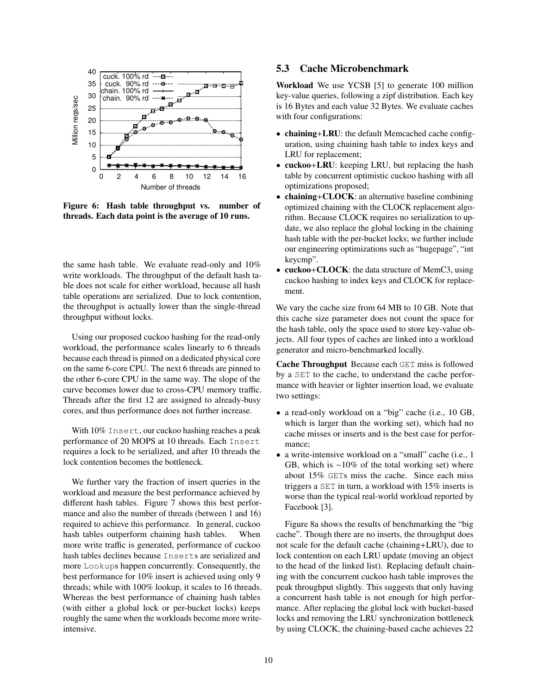<span id="page-9-0"></span>

Figure 6: Hash table throughput vs. number of threads. Each data point is the average of 10 runs.

the same hash table. We evaluate read-only and 10% write workloads. The throughput of the default hash table does not scale for either workload, because all hash table operations are serialized. Due to lock contention, the throughput is actually lower than the single-thread throughput without locks.

Using our proposed cuckoo hashing for the read-only workload, the performance scales linearly to 6 threads because each thread is pinned on a dedicated physical core on the same 6-core CPU. The next 6 threads are pinned to the other 6-core CPU in the same way. The slope of the curve becomes lower due to cross-CPU memory traffic. Threads after the first 12 are assigned to already-busy cores, and thus performance does not further increase.

With  $10\%$  Insert, our cuckoo hashing reaches a peak performance of 20 MOPS at 10 threads. Each Insert requires a lock to be serialized, and after 10 threads the lock contention becomes the bottleneck.

We further vary the fraction of insert queries in the workload and measure the best performance achieved by different hash tables. Figure [7](#page-10-0) shows this best performance and also the number of threads (between 1 and 16) required to achieve this performance. In general, cuckoo hash tables outperform chaining hash tables. When more write traffic is generated, performance of cuckoo hash tables declines because Inserts are serialized and more Lookups happen concurrently. Consequently, the best performance for 10% insert is achieved using only 9 threads; while with 100% lookup, it scales to 16 threads. Whereas the best performance of chaining hash tables (with either a global lock or per-bucket locks) keeps roughly the same when the workloads become more writeintensive.

#### <span id="page-9-1"></span>5.3 Cache Microbenchmark

Workload We use YCSB [\[5\]](#page-13-17) to generate 100 million key-value queries, following a zipf distribution. Each key is 16 Bytes and each value 32 Bytes. We evaluate caches with four configurations:

- chaining+LRU: the default Memcached cache configuration, using chaining hash table to index keys and LRU for replacement;
- cuckoo+LRU: keeping LRU, but replacing the hash table by concurrent optimistic cuckoo hashing with all optimizations proposed;
- chaining+CLOCK: an alternative baseline combining optimized chaining with the CLOCK replacement algorithm. Because CLOCK requires no serialization to update, we also replace the global locking in the chaining hash table with the per-bucket locks; we further include our engineering optimizations such as "hugepage", "int keycmp".
- cuckoo+CLOCK: the data structure of MemC3, using cuckoo hashing to index keys and CLOCK for replacement.

We vary the cache size from 64 MB to 10 GB. Note that this cache size parameter does not count the space for the hash table, only the space used to store key-value objects. All four types of caches are linked into a workload generator and micro-benchmarked locally.

Cache Throughput Because each GET miss is followed by a SET to the cache, to understand the cache performance with heavier or lighter insertion load, we evaluate two settings:

- a read-only workload on a "big" cache (i.e., 10 GB, which is larger than the working set), which had no cache misses or inserts and is the best case for performance;
- a write-intensive workload on a "small" cache (i.e., 1 GB, which is ∼10% of the total working set) where about 15% GETs miss the cache. Since each miss triggers a SET in turn, a workload with 15% inserts is worse than the typical real-world workload reported by Facebook [\[3\]](#page-13-11).

Figure [8a](#page-10-1) shows the results of benchmarking the "big cache". Though there are no inserts, the throughput does not scale for the default cache (chaining+LRU), due to lock contention on each LRU update (moving an object to the head of the linked list). Replacing default chaining with the concurrent cuckoo hash table improves the peak throughput slightly. This suggests that only having a concurrent hash table is not enough for high performance. After replacing the global lock with bucket-based locks and removing the LRU synchronization bottleneck by using CLOCK, the chaining-based cache achieves 22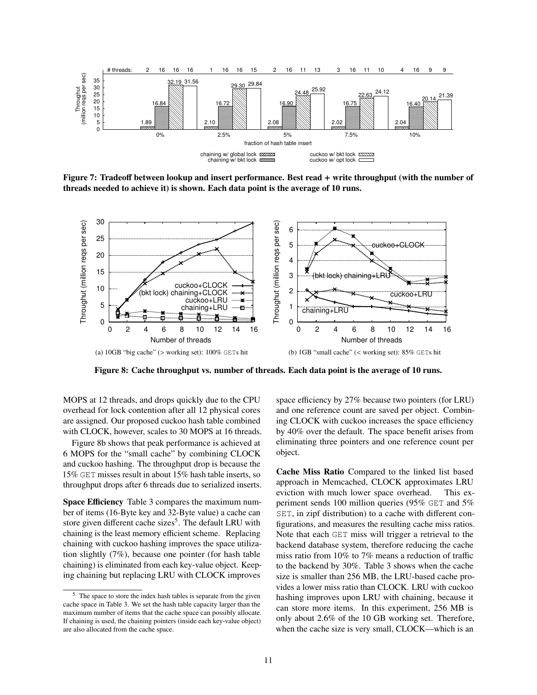<span id="page-10-0"></span>

Figure 7: Tradeoff between lookup and insert performance. Best read + write throughput (with the number of threads needed to achieve it) is shown. Each data point is the average of 10 runs.

<span id="page-10-1"></span>

Figure 8: Cache throughput vs. number of threads. Each data point is the average of 10 runs.

MOPS at 12 threads, and drops quickly due to the CPU overhead for lock contention after all 12 physical cores are assigned. Our proposed cuckoo hash table combined with CLOCK, however, scales to 30 MOPS at 16 threads.

Figure [8b](#page-10-2) shows that peak performance is achieved at 6 MOPS for the "small cache" by combining CLOCK and cuckoo hashing. The throughput drop is because the 15% GET misses result in about 15% hash table inserts, so throughput drops after 6 threads due to serialized inserts.

Space Efficiency Table [3](#page-11-0) compares the maximum number of items (16-Byte key and 32-Byte value) a cache can store given different cache sizes<sup>[5](#page-10-3)</sup>. The default LRU with chaining is the least memory efficient scheme. Replacing chaining with cuckoo hashing improves the space utilization slightly (7%), because one pointer (for hash table chaining) is eliminated from each key-value object. Keeping chaining but replacing LRU with CLOCK improves

<span id="page-10-2"></span>space efficiency by 27% because two pointers (for LRU) and one reference count are saved per object. Combining CLOCK with cuckoo increases the space efficiency by 40% over the default. The space benefit arises from eliminating three pointers and one reference count per object.

Cache Miss Ratio Compared to the linked list based approach in Memcached, CLOCK approximates LRU eviction with much lower space overhead. This experiment sends 100 million queries (95% GET and 5% SET, in zipf distribution) to a cache with different configurations, and measures the resulting cache miss ratios. Note that each GET miss will trigger a retrieval to the backend database system, therefore reducing the cache miss ratio from 10% to 7% means a reduction of traffic to the backend by 30%. Table [3](#page-11-0) shows when the cache size is smaller than 256 MB, the LRU-based cache provides a lower miss ratio than CLOCK. LRU with cuckoo hashing improves upon LRU with chaining, because it can store more items. In this experiment, 256 MB is only about <sup>2</sup>.6% of the 10 GB working set. Therefore, when the cache size is very small, CLOCK—which is an

<span id="page-10-3"></span><sup>&</sup>lt;sup>5</sup> The space to store the index hash tables is separate from the given cache space in Table [3.](#page-11-0) We set the hash table capacity larger than the maximum number of items that the cache space can possibly allocate. If chaining is used, the chaining pointers (inside each key-value object) are also allocated from the cache space.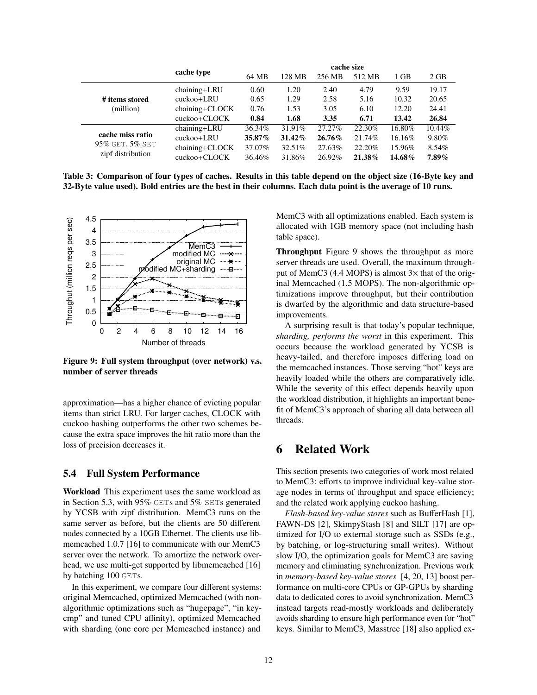<span id="page-11-0"></span>

|                   | cache type         | cache size |        |        |        |        |          |
|-------------------|--------------------|------------|--------|--------|--------|--------|----------|
|                   |                    | 64 MB      | 128 MB | 256 MB | 512 MB | 1 GB   | 2 GB     |
|                   | chaining+LRU       | 0.60       | 1.20   | 2.40   | 4.79   | 9.59   | 19.17    |
| # items stored    | cuckoo+LRU         | 0.65       | 1.29   | 2.58   | 5.16   | 10.32  | 20.65    |
| (million)         | $chaining + CLOCK$ | 0.76       | 1.53   | 3.05   | 6.10   | 12.20  | 24.41    |
|                   | cuckoo+CLOCK       | 0.84       | 1.68   | 3.35   | 6.71   | 13.42  | 26.84    |
|                   | chaining+LRU       | 36.34%     | 31.91% | 27.27% | 22.30% | 16.80% | 10.44%   |
| cache miss ratio  | cuckoo+LRU         | 35.87%     | 31.42% | 26.76% | 21.74% | 16.16% | 9.80%    |
| 95% GET, 5% SET   | $chaining + CLOCK$ | 37.07%     | 32.51% | 27.63% | 22.20% | 15.96% | 8.54%    |
| zipf distribution | cuckoo+CLOCK       | 36.46%     | 31.86% | 26.92% | 21.38% | 14.68% | $7.89\%$ |

Table 3: Comparison of four types of caches. Results in this table depend on the object size (16-Byte key and 32-Byte value used). Bold entries are the best in their columns. Each data point is the average of 10 runs.

<span id="page-11-1"></span>

Figure 9: Full system throughput (over network) v.s. number of server threads

approximation—has a higher chance of evicting popular items than strict LRU. For larger caches, CLOCK with cuckoo hashing outperforms the other two schemes because the extra space improves the hit ratio more than the loss of precision decreases it.

#### 5.4 Full System Performance

Workload This experiment uses the same workload as in Section [5.3,](#page-9-1) with 95% GETs and 5% SETs generated by YCSB with zipf distribution. MemC3 runs on the same server as before, but the clients are 50 different nodes connected by a 10GB Ethernet. The clients use libmemcached 1.0.7 [\[16\]](#page-13-18) to communicate with our MemC3 server over the network. To amortize the network overhead, we use multi-get supported by libmemcached [\[16\]](#page-13-18) by batching 100 GETs.

In this experiment, we compare four different systems: original Memcached, optimized Memcached (with nonalgorithmic optimizations such as "hugepage", "in keycmp" and tuned CPU affinity), optimized Memcached with sharding (one core per Memcached instance) and

MemC3 with all optimizations enabled. Each system is allocated with 1GB memory space (not including hash table space).

Throughput Figure [9](#page-11-1) shows the throughput as more server threads are used. Overall, the maximum throughput of MemC3 (4.4 MOPS) is almost  $3\times$  that of the original Memcached (1.5 MOPS). The non-algorithmic optimizations improve throughput, but their contribution is dwarfed by the algorithmic and data structure-based improvements.

A surprising result is that today's popular technique, *sharding, performs the worst* in this experiment. This occurs because the workload generated by YCSB is heavy-tailed, and therefore imposes differing load on the memcached instances. Those serving "hot" keys are heavily loaded while the others are comparatively idle. While the severity of this effect depends heavily upon the workload distribution, it highlights an important benefit of MemC3's approach of sharing all data between all threads.

### 6 Related Work

This section presents two categories of work most related to MemC3: efforts to improve individual key-value storage nodes in terms of throughput and space efficiency; and the related work applying cuckoo hashing.

*Flash-based key-value stores* such as BufferHash [\[1\]](#page-13-19), FAWN-DS [\[2\]](#page-13-20), SkimpyStash [\[8\]](#page-13-21) and SILT [\[17\]](#page-13-13) are optimized for I/O to external storage such as SSDs (e.g., by batching, or log-structuring small writes). Without slow I/O, the optimization goals for MemC3 are saving memory and eliminating synchronization. Previous work in *memory-based key-value stores* [\[4,](#page-13-8) [20,](#page-13-9) [13\]](#page-13-10) boost performance on multi-core CPUs or GP-GPUs by sharding data to dedicated cores to avoid synchronization. MemC3 instead targets read-mostly workloads and deliberately avoids sharding to ensure high performance even for "hot" keys. Similar to MemC3, Masstree [\[18\]](#page-13-22) also applied ex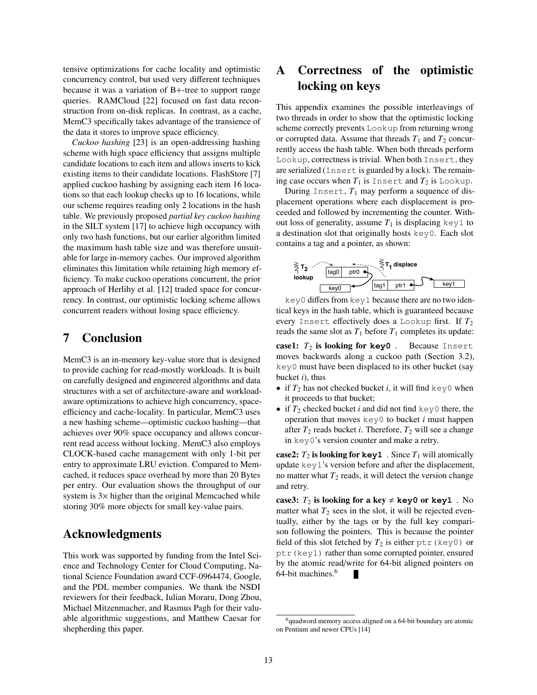tensive optimizations for cache locality and optimistic concurrency control, but used very different techniques because it was a variation of B+-tree to support range queries. RAMCloud [\[22\]](#page-13-23) focused on fast data reconstruction from on-disk replicas. In contrast, as a cache, MemC3 specifically takes advantage of the transience of the data it stores to improve space efficiency.

*Cuckoo hashing* [\[23\]](#page-13-6) is an open-addressing hashing scheme with high space efficiency that assigns multiple candidate locations to each item and allows inserts to kick existing items to their candidate locations. FlashStore [\[7\]](#page-13-24) applied cuckoo hashing by assigning each item 16 locations so that each lookup checks up to 16 locations, while our scheme requires reading only 2 locations in the hash table. We previously proposed *partial key cuckoo hashing* in the SILT system [\[17\]](#page-13-13) to achieve high occupancy with only two hash functions, but our earlier algorithm limited the maximum hash table size and was therefore unsuitable for large in-memory caches. Our improved algorithm eliminates this limitation while retaining high memory efficiency. To make cuckoo operations concurrent, the prior approach of Herlihy et al. [\[12\]](#page-13-14) traded space for concurrency. In contrast, our optimistic locking scheme allows concurrent readers without losing space efficiency.

### 7 Conclusion

MemC3 is an in-memory key-value store that is designed to provide caching for read-mostly workloads. It is built on carefully designed and engineered algorithms and data structures with a set of architecture-aware and workloadaware optimizations to achieve high concurrency, spaceefficiency and cache-locality. In particular, MemC3 uses a new hashing scheme—optimistic cuckoo hashing—that achieves over 90% space occupancy and allows concurrent read access without locking. MemC3 also employs CLOCK-based cache management with only 1-bit per entry to approximate LRU eviction. Compared to Memcached, it reduces space overhead by more than 20 Bytes per entry. Our evaluation shows the throughput of our system is  $3\times$  higher than the original Memcached while storing 30% more objects for small key-value pairs.

### Acknowledgments

This work was supported by funding from the Intel Science and Technology Center for Cloud Computing, National Science Foundation award CCF-0964474, Google, and the PDL member companies. We thank the NSDI reviewers for their feedback, Iulian Moraru, Dong Zhou, Michael Mitzenmacher, and Rasmus Pagh for their valuable algorithmic suggestions, and Matthew Caesar for shepherding this paper.

## A Correctness of the optimistic locking on keys

This appendix examines the possible interleavings of two threads in order to show that the optimistic locking scheme correctly prevents Lookup from returning wrong or corrupted data. Assume that threads  $T_1$  and  $T_2$  concurrently access the hash table. When both threads perform Lookup, correctness is trivial. When both Insert, they are serialized (Insert is guarded by a lock). The remaining case occurs when  $T_1$  is Insert and  $T_2$  is Lookup.

During Insert,  $T_1$  may perform a sequence of displacement operations where each displacement is proceeded and followed by incrementing the counter. Without loss of generality, assume  $T_1$  is displacing key1 to a destination slot that originally hosts key0. Each slot contains a tag and a pointer, as shown:



key0 differs from key1 because there are no two identical keys in the hash table, which is guaranteed because every Insert effectively does a Lookup first. If  $T_2$ reads the same slot as  $T_1$  before  $T_1$  completes its update:

case1:  $T_2$  is looking for  $key0$  . Because Insert moves backwards along a cuckoo path (Section [3.2\)](#page-4-2), key0 must have been displaced to its other bucket (say bucket *i*), thus

- if  $T_2$  has not checked bucket *i*, it will find key0 when it proceeds to that bucket;
- if  $T_2$  checked bucket *i* and did not find key0 there, the operation that moves key0 to bucket *i* must happen after  $T_2$  reads bucket *i*. Therefore,  $T_2$  will see a change in key0's version counter and make a retry.

case2:  $T_2$  is looking for  $key1$ . Since  $T_1$  will atomically update key1's version before and after the displacement, no matter what  $T_2$  reads, it will detect the version change and retry.

case3:  $T_2$  is looking for a key  $\neq$  key0 or key1. No matter what  $T_2$  sees in the slot, it will be rejected eventually, either by the tags or by the full key comparison following the pointers. This is because the pointer field of this slot fetched by  $T_2$  is either  $ptr$  (key0) or ptr(key1) rather than some corrupted pointer, ensured by the atomic read/write for 64-bit aligned pointers on 64-bit machines.[6](#page-12-0)

<span id="page-12-0"></span> $<sup>6</sup>$ quadword memory access aligned on a 64-bit boundary are atomic</sup> on Pentium and newer CPUs [\[14\]](#page-13-25)